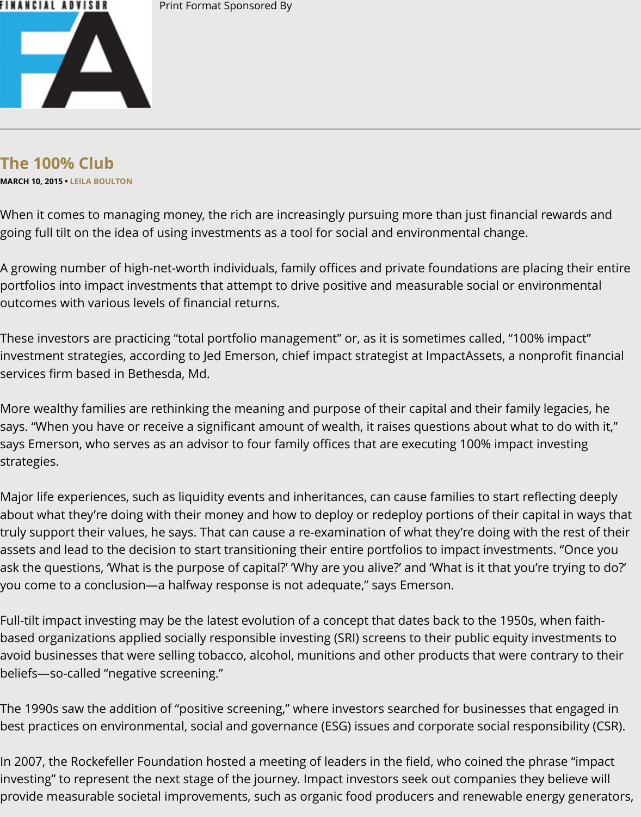# **The 100% Club**

**MARCH 10, 2015 • LEILA BOULTON**

When it comes to managing money, the rich are increasingly pursuing more than just financial going full tilt on the idea of using investments as a tool for social and environmental change.

A growing number of high-net-worth individuals, family offices and private foundations are pla portfolios into impact investments that attempt to drive positive and measurable social or env outcomes [with various](http://www.fa-mag.com/author/143/leila_boulton) levels of financial returns.

These investors are practicing "total portfolio management" or, as it is sometimes called, "100<mark>9</mark> investment strategies, according to Jed Emerson, chief impact strategist at ImpactAssets, a nor services firm based in Bethesda, Md.

More wealthy families are rethinking the meaning and purpose of their capital and their family says. "When you have or receive a significant amount of wealth, it raises questions about what says Emerson, who serves as an advisor to four family offices that are executing 100% impact i strategies.

Major life experiences, such as liquidity events and inheritances, can cause families to start ref about what they're doing with their money and how to deploy or redeploy portions of their cap truly support their values, he says. That can cause a re-examination of what they're doing with assets and lead to the decision to start transitioning their entire portfolios to impact investmer ask the questions, 'What is the purpose of capital?' 'Why are you alive?' and 'What is it that you' you come to a conclusion—a halfway response is not adequate," says Emerson.

Full-tilt impact investing may be the latest evolution of a concept that dates back to the 1950s, based organizations applied socially responsible investing (SRI) screens to their public equity ir avoid businesses that were selling tobacco, alcohol, munitions and other products that were co beliefs—so-called "negative screening."

The 1990s saw the addition of "positive screening," where investors searched for businesses th best practices on environmental, social and governance (ESG) issues and corporate social resp

In 2007, the Rockefeller Foundation hosted a meeting of leaders in the field, who coined the pl investing" to represent the next stage of the journey. Impact investors seek out companies the provide measurable societal improvements, such as organic food producers and renewable en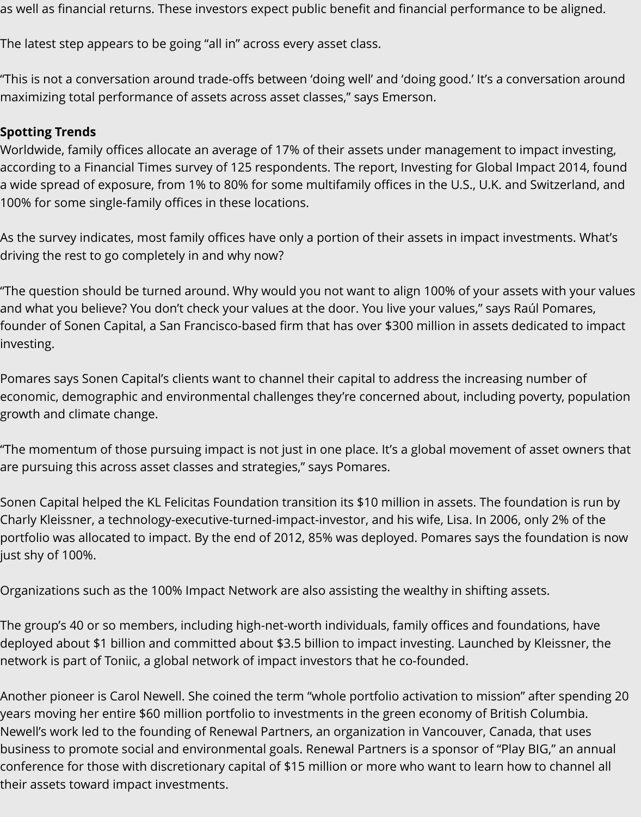as well as financial returns. These investors expect public benefit and financial performance to be aligned.

The latest step appears to be going "all in" across every asset class.

"This is not a conversation around trade-offs between 'doing well' and 'doing good.' It's a conversation around maximizing total performance of assets across asset classes," says Emerson.

### **Spotting Trends**

Worldwide, family offices allocate an average of 17% of their assets under management to impact investing, according to a Financial Times survey of 125 respondents. The report, Investing for Global Impact 2014, found a wide spread of exposure, from 1% to 80% for some multifamily offices in the U.S., U.K. and Switzerland, and 100% for some single-family offices in these locations.

As the survey indicates, most family offices have only a portion of their assets in impact investments. What's driving the rest to go completely in and why now?

"The question should be turned around. Why would you not want to align 100% of your assets with your values and what you believe? You don't check your values at the door. You live your values," says Raúl Pomares, founder of Sonen Capital, a San Francisco-based firm that has over \$300 million in assets dedicated to impact investing.

Pomares says Sonen Capital's clients want to channel their capital to address the increasing number of economic, demographic and environmental challenges they're concerned about, including poverty, population growth and climate change.

"The momentum of those pursuing impact is not just in one place. It's a global movement of asset owners that are pursuing this across asset classes and strategies," says Pomares.

Sonen Capital helped the KL Felicitas Foundation transition its \$10 million in assets. The foundation is run by Charly Kleissner, a technology-executive-turned-impact-investor, and his wife, Lisa. In 2006, only 2% of the portfolio was allocated to impact. By the end of 2012, 85% was deployed. Pomares says the foundation is now just shy of 100%.

Organizations such as the 100% Impact Network are also assisting the wealthy in shifting assets.

The group's 40 or so members, including high-net-worth individuals, family offices and foundations, have deployed about \$1 billion and committed about \$3.5 billion to impact investing. Launched by Kleissner, the network is part of Toniic, a global network of impact investors that he co-founded.

Another pioneer is Carol Newell. She coined the term "whole portfolio activation to mission" after spending 20 years moving her entire \$60 million portfolio to investments in the green economy of British Columbia. Newell's work led to the founding of Renewal Partners, an organization in Vancouver, Canada, that uses business to promote social and environmental goals. Renewal Partners is a sponsor of "Play BIG," an annual conference for those with discretionary capital of \$15 million or more who want to learn how to channel all their assets toward impact investments.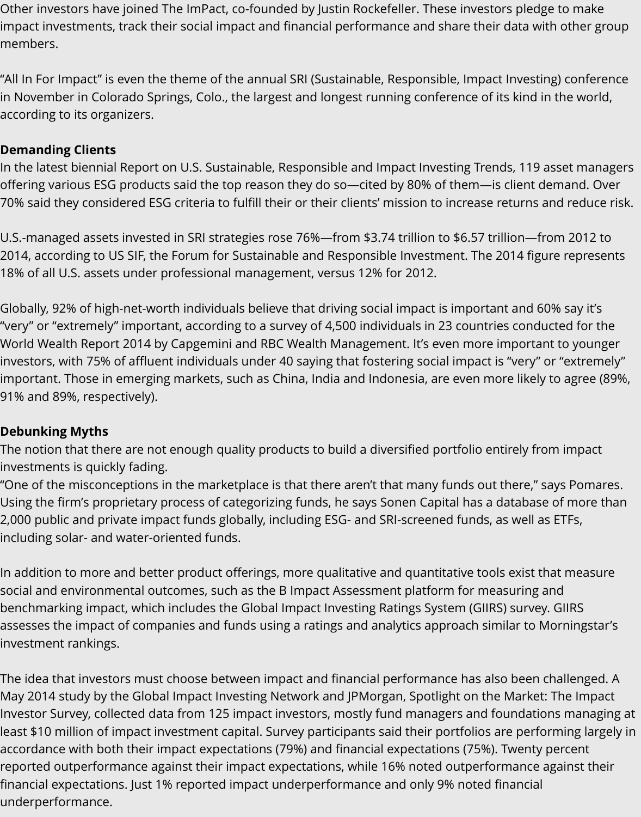Other investors have joined The ImPact, co-founded by Justin Rockefeller. These investors pledge to make impact investments, track their social impact and financial performance and share their data with other group members.

"All In For Impact" is even the theme of the annual SRI (Sustainable, Responsible, Impact Investing) conference in November in Colorado Springs, Colo., the largest and longest running conference of its kind in the world, according to its organizers.

## **Demanding Clients**

In the latest biennial Report on U.S. Sustainable, Responsible and Impact Investing Trends, 119 asset managers offering various ESG products said the top reason they do so—cited by 80% of them—is client demand. Over 70% said they considered ESG criteria to fulfill their or their clients' mission to increase returns and reduce risk.

U.S.-managed assets invested in SRI strategies rose 76%—from \$3.74 trillion to \$6.57 trillion—from 2012 to 2014, according to US SIF, the Forum for Sustainable and Responsible Investment. The 2014 figure represents 18% of all U.S. assets under professional management, versus 12% for 2012.

Globally, 92% of high-net-worth individuals believe that driving social impact is important and 60% say it's "very" or "extremely" important, according to a survey of 4,500 individuals in 23 countries conducted for the World Wealth Report 2014 by Capgemini and RBC Wealth Management. It's even more important to younger investors, with 75% of affluent individuals under 40 saying that fostering social impact is "very" or "extremely" important. Those in emerging markets, such as China, India and Indonesia, are even more likely to agree (89%, 91% and 89%, respectively).

### **Debunking Myths**

The notion that there are not enough quality products to build a diversified portfolio entirely from impact investments is quickly fading.

"One of the misconceptions in the marketplace is that there aren't that many funds out there," says Pomares. Using the firm's proprietary process of categorizing funds, he says Sonen Capital has a database of more than 2,000 public and private impact funds globally, including ESG- and SRI-screened funds, as well as ETFs, including solar- and water-oriented funds.

In addition to more and better product offerings, more qualitative and quantitative tools exist that measure social and environmental outcomes, such as the B Impact Assessment platform for measuring and benchmarking impact, which includes the Global Impact Investing Ratings System (GIIRS) survey. GIIRS assesses the impact of companies and funds using a ratings and analytics approach similar to Morningstar's investment rankings.

The idea that investors must choose between impact and financial performance has also been challenged. A May 2014 study by the Global Impact Investing Network and JPMorgan, Spotlight on the Market: The Impact Investor Survey, collected data from 125 impact investors, mostly fund managers and foundations managing at least \$10 million of impact investment capital. Survey participants said their portfolios are performing largely in accordance with both their impact expectations (79%) and financial expectations (75%). Twenty percent reported outperformance against their impact expectations, while 16% noted outperformance against their financial expectations. Just 1% reported impact underperformance and only 9% noted financial underperformance.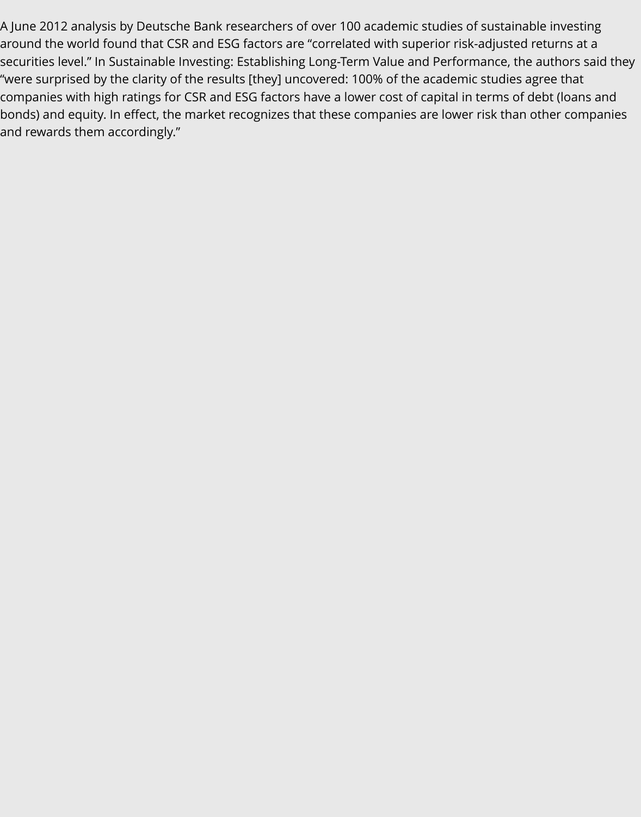A June 2012 analysis by Deutsche Bank researchers of over 100 academic studies of sustainable investing around the world found that CSR and ESG factors are "correlated with superior risk-adjusted returns at a securities level." In Sustainable Investing: Establishing Long-Term Value and Performance, the authors said they "were surprised by the clarity of the results [they] uncovered: 100% of the academic studies agree that companies with high ratings for CSR and ESG factors have a lower cost of capital in terms of debt (loans and bonds) and equity. In effect, the market recognizes that these companies are lower risk than other companies and rewards them accordingly."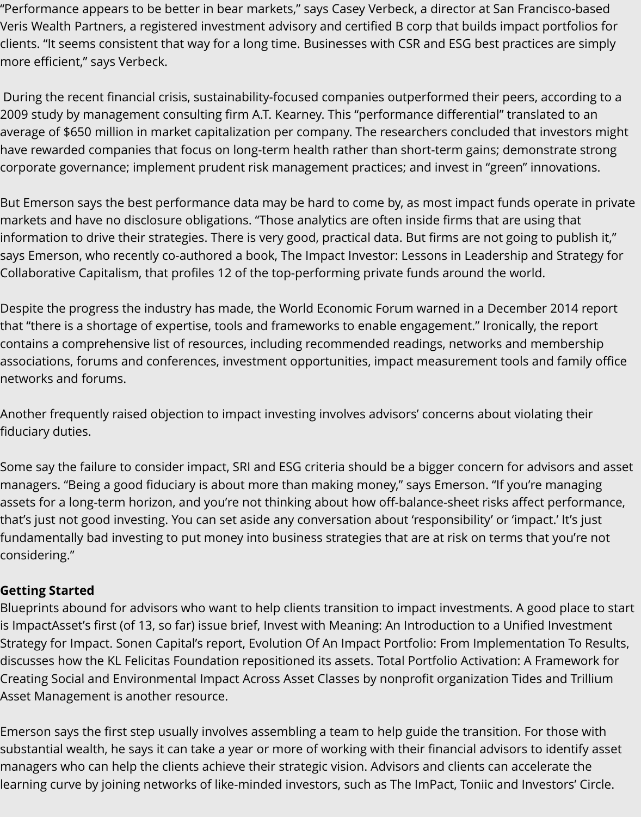"Performance appears to be better in bear markets," says Casey Verbeck, a director at San Francisco-based Veris Wealth Partners, a registered investment advisory and certified B corp that builds impact portfolios for clients. "It seems consistent that way for a long time. Businesses with CSR and ESG best practices are simply more efficient," says Verbeck.

 During the recent financial crisis, sustainability-focused companies outperformed their peers, according to a 2009 study by management consulting firm A.T. Kearney. This "performance differential" translated to an average of \$650 million in market capitalization per company. The researchers concluded that investors might have rewarded companies that focus on long-term health rather than short-term gains; demonstrate strong corporate governance; implement prudent risk management practices; and invest in "green" innovations.

But Emerson says the best performance data may be hard to come by, as most impact funds operate in private markets and have no disclosure obligations. "Those analytics are often inside firms that are using that information to drive their strategies. There is very good, practical data. But firms are not going to publish it," says Emerson, who recently co-authored a book, The Impact Investor: Lessons in Leadership and Strategy for Collaborative Capitalism, that profiles 12 of the top-performing private funds around the world.

Despite the progress the industry has made, the World Economic Forum warned in a December 2014 report that "there is a shortage of expertise, tools and frameworks to enable engagement." Ironically, the report contains a comprehensive list of resources, including recommended readings, networks and membership associations, forums and conferences, investment opportunities, impact measurement tools and family office networks and forums.

Another frequently raised objection to impact investing involves advisors' concerns about violating their fiduciary duties.

Some say the failure to consider impact, SRI and ESG criteria should be a bigger concern for advisors and asset managers. "Being a good fiduciary is about more than making money," says Emerson. "If you're managing assets for a long-term horizon, and you're not thinking about how off-balance-sheet risks affect performance, that's just not good investing. You can set aside any conversation about 'responsibility' or 'impact.' It's just fundamentally bad investing to put money into business strategies that are at risk on terms that you're not considering."

### **Getting Started**

Blueprints abound for advisors who want to help clients transition to impact investments. A good place to start is ImpactAsset's first (of 13, so far) issue brief, Invest with Meaning: An Introduction to a Unified Investment Strategy for Impact. Sonen Capital's report, Evolution Of An Impact Portfolio: From Implementation To Results, discusses how the KL Felicitas Foundation repositioned its assets. Total Portfolio Activation: A Framework for Creating Social and Environmental Impact Across Asset Classes by nonprofit organization Tides and Trillium Asset Management is another resource.

Emerson says the first step usually involves assembling a team to help guide the transition. For those with substantial wealth, he says it can take a year or more of working with their financial advisors to identify asset managers who can help the clients achieve their strategic vision. Advisors and clients can accelerate the learning curve by joining networks of like-minded investors, such as The ImPact, Toniic and Investors' Circle.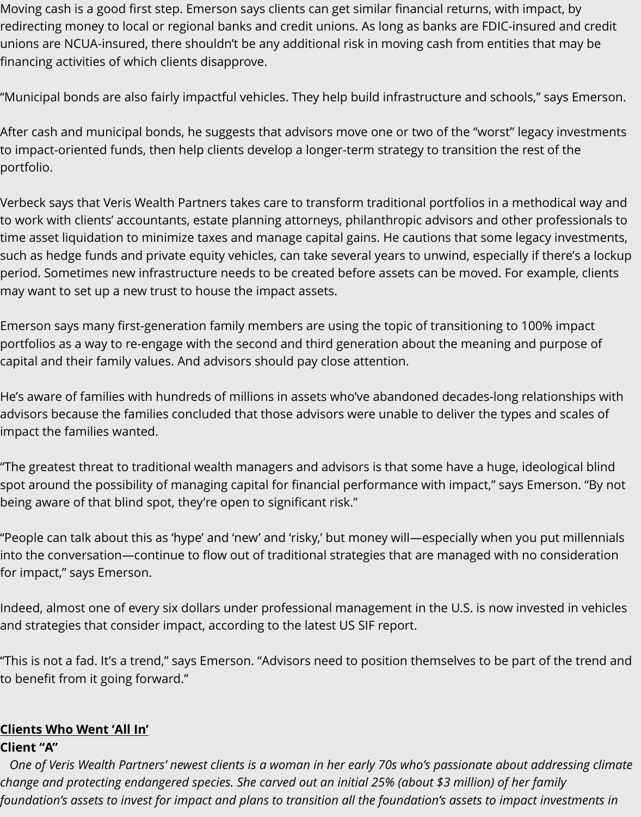Moving cash is a good first step. Emerson says clients can get similar financial returns, with impact, by redirecting money to local or regional banks and credit unions. As long as banks are FDIC-insured and credit unions are NCUA-insured, there shouldn't be any additional risk in moving cash from entities that may be financing activities of which clients disapprove.

"Municipal bonds are also fairly impactful vehicles. They help build infrastructure and schools," says Emerson.

After cash and municipal bonds, he suggests that advisors move one or two of the "worst" legacy investments to impact-oriented funds, then help clients develop a longer-term strategy to transition the rest of the portfolio.

Verbeck says that Veris Wealth Partners takes care to transform traditional portfolios in a methodical way and to work with clients' accountants, estate planning attorneys, philanthropic advisors and other professionals to time asset liquidation to minimize taxes and manage capital gains. He cautions that some legacy investments, such as hedge funds and private equity vehicles, can take several years to unwind, especially if there's a lockup period. Sometimes new infrastructure needs to be created before assets can be moved. For example, clients may want to set up a new trust to house the impact assets.

Emerson says many first-generation family members are using the topic of transitioning to 100% impact portfolios as a way to re-engage with the second and third generation about the meaning and purpose of capital and their family values. And advisors should pay close attention.

He's aware of families with hundreds of millions in assets who've abandoned decades-long relationships with advisors because the families concluded that those advisors were unable to deliver the types and scales of impact the families wanted.

"The greatest threat to traditional wealth managers and advisors is that some have a huge, ideological blind spot around the possibility of managing capital for financial performance with impact," says Emerson. "By not being aware of that blind spot, they're open to significant risk."

"People can talk about this as 'hype' and 'new' and 'risky,' but money will—especially when you put millennials into the conversation—continue to flow out of traditional strategies that are managed with no consideration for impact," says Emerson.

Indeed, almost one of every six dollars under professional management in the U.S. is now invested in vehicles and strategies that consider impact, according to the latest US SIF report.

"This is not a fad. It's a trend," says Emerson. "Advisors need to position themselves to be part of the trend and to benefit from it going forward."

#### **Clients Who Went 'All In'**

#### **Client "A"**

 *One of Veris Wealth Partners' newest clients is a woman in her early 70s who's passionate about addressing climate change and protecting endangered species. She carved out an initial 25% (about \$3 million) of her family foundation's assets to invest for impact and plans to transition all the foundation's assets to impact investments in*